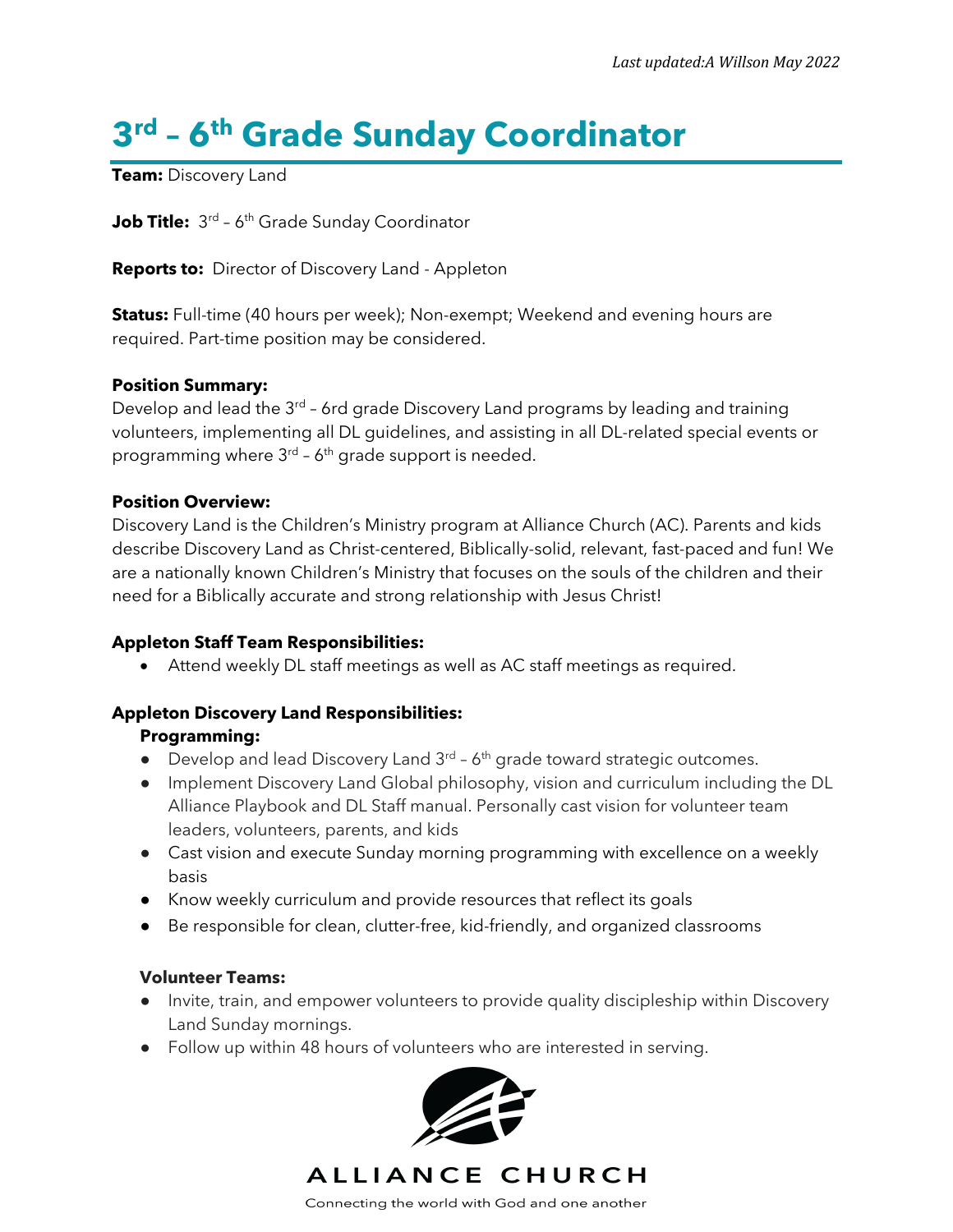# **3rd – 6th Grade Sunday Coordinator**

**Team:** Discovery Land

**Job Title:** 3<sup>rd</sup> - 6<sup>th</sup> Grade Sunday Coordinator

**Reports to:** Director of Discovery Land - Appleton

**Status:** Full-time (40 hours per week); Non-exempt; Weekend and evening hours are required. Part-time position may be considered.

## **Position Summary:**

Develop and lead the  $3^{rd}$  - 6rd grade Discovery Land programs by leading and training volunteers, implementing all DL guidelines, and assisting in all DL-related special events or programming where  $3^{rd}$  – 6<sup>th</sup> grade support is needed.

## **Position Overview:**

Discovery Land is the Children's Ministry program at Alliance Church (AC). Parents and kids describe Discovery Land as Christ-centered, Biblically-solid, relevant, fast-paced and fun! We are a nationally known Children's Ministry that focuses on the souls of the children and their need for a Biblically accurate and strong relationship with Jesus Christ!

## **Appleton Staff Team Responsibilities:**

• Attend weekly DL staff meetings as well as AC staff meetings as required.

## **Appleton Discovery Land Responsibilities:**

## **Programming:**

- Develop and lead Discovery Land  $3<sup>rd</sup> 6<sup>th</sup>$  grade toward strategic outcomes.
- Implement Discovery Land Global philosophy, vision and curriculum including the DL Alliance Playbook and DL Staff manual. Personally cast vision for volunteer team leaders, volunteers, parents, and kids
- Cast vision and execute Sunday morning programming with excellence on a weekly basis
- Know weekly curriculum and provide resources that reflect its goals
- Be responsible for clean, clutter-free, kid-friendly, and organized classrooms

## **Volunteer Teams:**

- Invite, train, and empower volunteers to provide quality discipleship within Discovery Land Sunday mornings.
- Follow up within 48 hours of volunteers who are interested in serving.



ALLIANCE CHURCH

Connecting the world with God and one another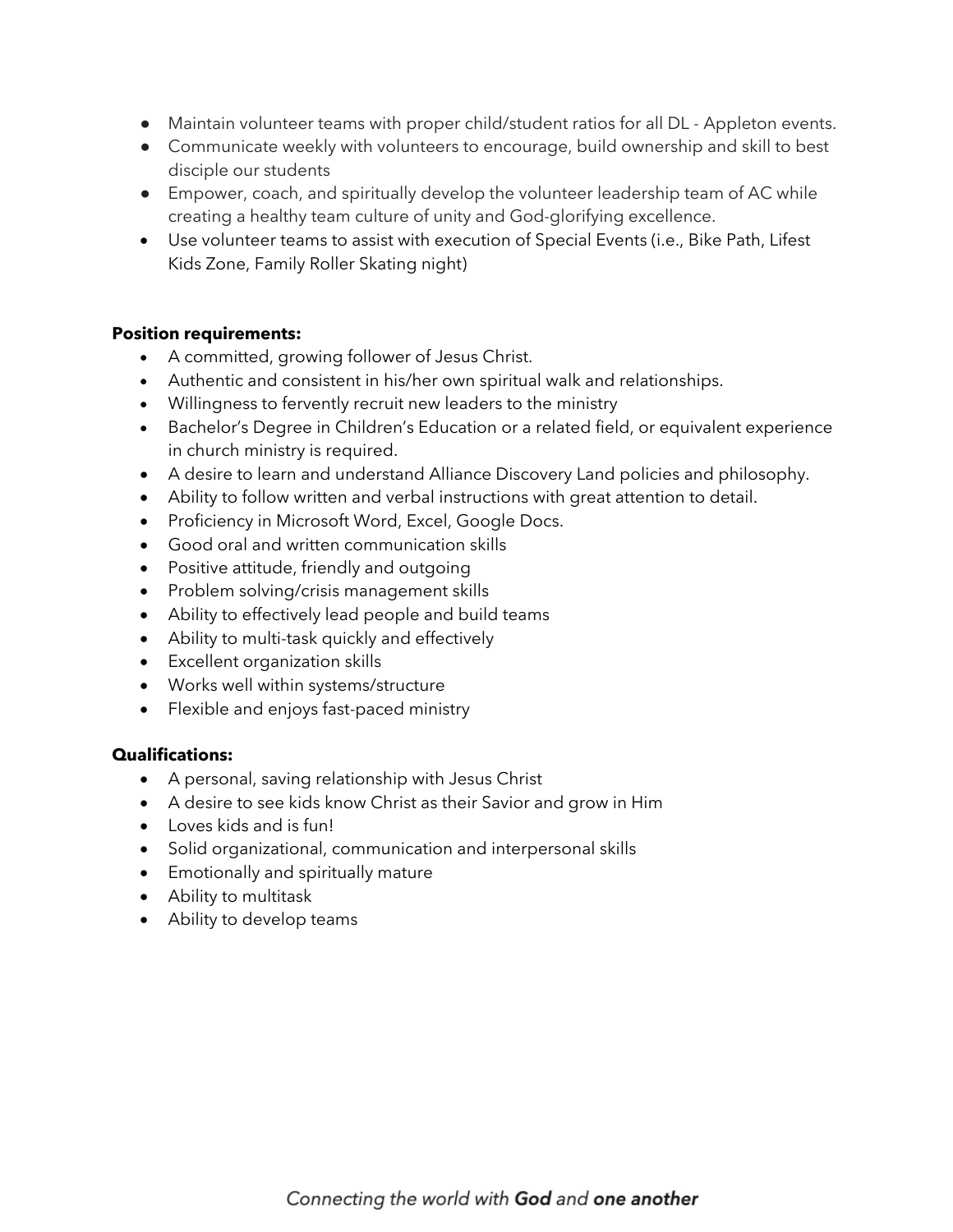- Maintain volunteer teams with proper child/student ratios for all DL Appleton events.
- Communicate weekly with volunteers to encourage, build ownership and skill to best disciple our students
- Empower, coach, and spiritually develop the volunteer leadership team of AC while creating a healthy team culture of unity and God-glorifying excellence.
- Use volunteer teams to assist with execution of Special Events (i.e., Bike Path, Lifest Kids Zone, Family Roller Skating night)

#### **Position requirements:**

- A committed, growing follower of Jesus Christ.
- Authentic and consistent in his/her own spiritual walk and relationships.
- Willingness to fervently recruit new leaders to the ministry
- Bachelor's Degree in Children's Education or a related field, or equivalent experience in church ministry is required.
- A desire to learn and understand Alliance Discovery Land policies and philosophy.
- Ability to follow written and verbal instructions with great attention to detail.
- Proficiency in Microsoft Word, Excel, Google Docs.
- Good oral and written communication skills
- Positive attitude, friendly and outgoing
- Problem solving/crisis management skills
- Ability to effectively lead people and build teams
- Ability to multi-task quickly and effectively
- Excellent organization skills
- Works well within systems/structure
- Flexible and enjoys fast-paced ministry

## **Qualifications:**

- A personal, saving relationship with Jesus Christ
- A desire to see kids know Christ as their Savior and grow in Him
- Loves kids and is fun!
- Solid organizational, communication and interpersonal skills
- Emotionally and spiritually mature
- Ability to multitask
- Ability to develop teams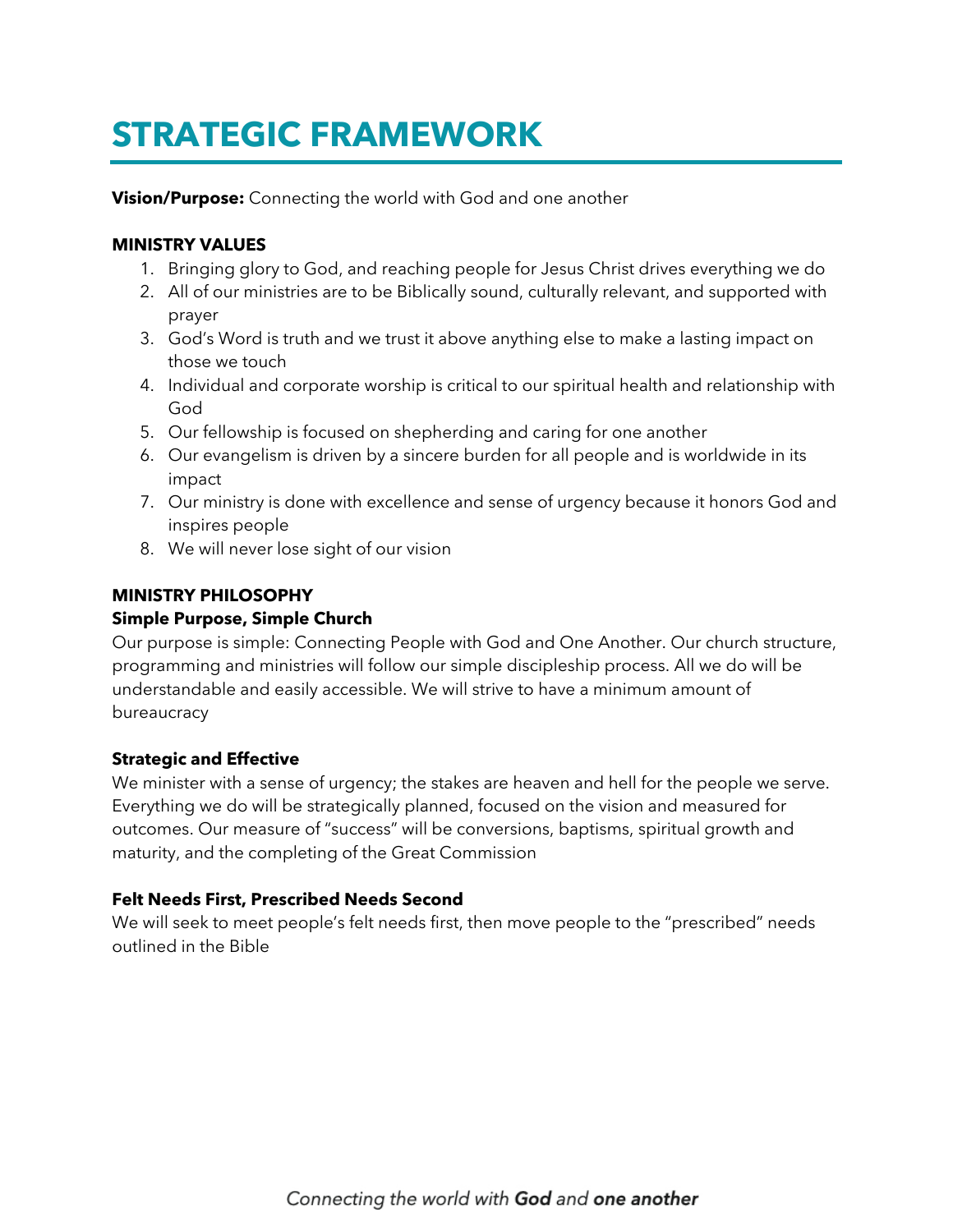## **STRATEGIC FRAMEWORK**

**Vision/Purpose:** Connecting the world with God and one another

#### **MINISTRY VALUES**

- 1. Bringing glory to God, and reaching people for Jesus Christ drives everything we do
- 2. All of our ministries are to be Biblically sound, culturally relevant, and supported with prayer
- 3. God's Word is truth and we trust it above anything else to make a lasting impact on those we touch
- 4. Individual and corporate worship is critical to our spiritual health and relationship with God
- 5. Our fellowship is focused on shepherding and caring for one another
- 6. Our evangelism is driven by a sincere burden for all people and is worldwide in its impact
- 7. Our ministry is done with excellence and sense of urgency because it honors God and inspires people
- 8. We will never lose sight of our vision

#### **MINISTRY PHILOSOPHY**

#### **Simple Purpose, Simple Church**

Our purpose is simple: Connecting People with God and One Another. Our church structure, programming and ministries will follow our simple discipleship process. All we do will be understandable and easily accessible. We will strive to have a minimum amount of bureaucracy

#### **Strategic and Effective**

We minister with a sense of urgency; the stakes are heaven and hell for the people we serve. Everything we do will be strategically planned, focused on the vision and measured for outcomes. Our measure of "success" will be conversions, baptisms, spiritual growth and maturity, and the completing of the Great Commission

## **Felt Needs First, Prescribed Needs Second**

We will seek to meet people's felt needs first, then move people to the "prescribed" needs outlined in the Bible